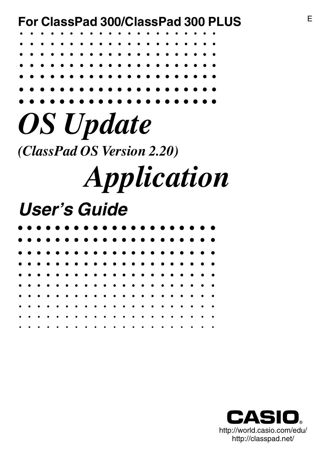<sup>E</sup> **For ClassPad 300/ClassPad 300 PLUS**

*OS Update (ClassPad OS Version 2.20)*

# *Application*

## **User's Guide**

|           |  |  |           |  |  |  |  |           |  | . |           |
|-----------|--|--|-----------|--|--|--|--|-----------|--|---|-----------|
|           |  |  |           |  |  |  |  |           |  | . |           |
|           |  |  |           |  |  |  |  |           |  | . |           |
|           |  |  |           |  |  |  |  |           |  | . |           |
|           |  |  |           |  |  |  |  |           |  |   |           |
|           |  |  |           |  |  |  |  |           |  |   |           |
|           |  |  |           |  |  |  |  |           |  |   |           |
|           |  |  |           |  |  |  |  |           |  | . |           |
| $\bullet$ |  |  | $\bullet$ |  |  |  |  | $\bullet$ |  |   | $\bullet$ |

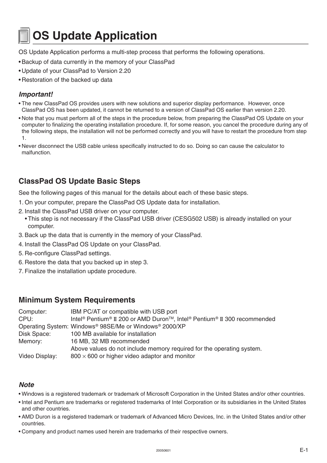### **OS Update Application**

OS Update Application performs a multi-step process that performs the following operations.

- •Backup of data currently in the memory of your ClassPad
- Update of your ClassPad to Version 2.20
- Restoration of the backed up data

#### **Important!**

- The new ClassPad OS provides users with new solutions and superior display performance. However, once ClassPad OS has been updated, it cannot be returned to a version of ClassPad OS earlier than version 2.20.
- Note that you must perform all of the steps in the procedure below, from preparing the ClassPad OS Update on your computer to finalizing the operating installation procedure. If, for some reason, you cancel the procedure during any of the following steps, the installation will not be performed correctly and you will have to restart the procedure from step 1.
- Never disconnect the USB cable unless specifically instructed to do so. Doing so can cause the calculator to malfunction.

#### **ClassPad OS Update Basic Steps**

See the following pages of this manual for the details about each of these basic steps.

- 1. On your computer, prepare the ClassPad OS Update data for installation.
- 2. Install the ClassPad USB driver on your computer.
	- This step is not necessary if the ClassPad USB driver (CESG502 USB) is already installed on your computer.
- 3. Back up the data that is currently in the memory of your ClassPad.
- 4. Install the ClassPad OS Update on your ClassPad.
- 5. Re-configure ClassPad settings.
- 6. Restore the data that you backed up in step 3.
- 7. Finalize the installation update procedure.

#### **Minimum System Requirements**

| Computer:      | IBM PC/AT or compatible with USB port                                                                                                 |
|----------------|---------------------------------------------------------------------------------------------------------------------------------------|
| CPU:           | Intel <sup>®</sup> Pentium <sup>®</sup> II 200 or AMD Duron <sup>™</sup> , Intel <sup>®</sup> Pentium <sup>®</sup> II 300 recommended |
|                | Operating System: Windows <sup>®</sup> 98SE/Me or Windows <sup>®</sup> 2000/XP                                                        |
| Disk Space:    | 100 MB available for installation                                                                                                     |
| Memory:        | 16 MB, 32 MB recommended                                                                                                              |
|                | Above values do not include memory required for the operating system.                                                                 |
| Video Display: | $800 \times 600$ or higher video adaptor and monitor                                                                                  |

#### **Note**

- Windows is a registered trademark or trademark of Microsoft Corporation in the United States and/or other countries.
- Intel and Pentium are trademarks or registered trademarks of Intel Corporation or its subsidiaries in the United States and other countries.
- AMD Duron is a registered trademark or trademark of Advanced Micro Devices, Inc. in the United States and/or other countries.
- Company and product names used herein are trademarks of their respective owners.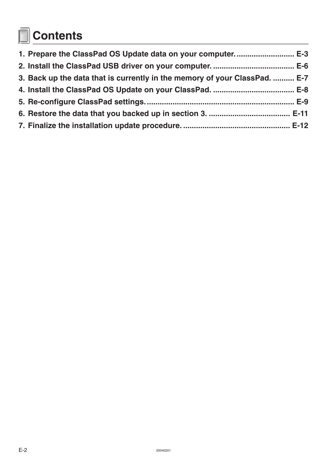# **Contents**

| 3. Back up the data that is currently in the memory of your ClassPad.  E-7 |  |
|----------------------------------------------------------------------------|--|
|                                                                            |  |
|                                                                            |  |
|                                                                            |  |
|                                                                            |  |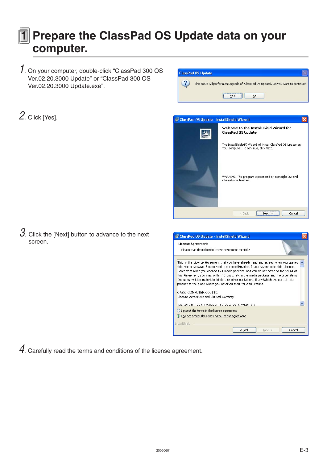#### <span id="page-3-0"></span>**1 Prepare the ClassPad OS Update data on your computer.**

**ClassPad OS Update** 

 $\overline{\mathbf{?}}$ 

- 1. On your computer, double-click "ClassPad 300 OS Ver.02.20.3000 Update" or "ClassPad 300 OS Ver.02.20.3000 Update.exe".
- 2. Click [Yes].



 $Yes$ 

This setup will perform an upgrade of 'ClassPad OS Update'. Do you want to continue?

 $Na$ </u>

 $3.$  Click the [Next] button to advance to the next screen.

| is ClassPad OS Update - InstallShield Wizard                                                                                                                                                                                                                                                                                                                                                                                                                                                                                                                                                       |  |
|----------------------------------------------------------------------------------------------------------------------------------------------------------------------------------------------------------------------------------------------------------------------------------------------------------------------------------------------------------------------------------------------------------------------------------------------------------------------------------------------------------------------------------------------------------------------------------------------------|--|
| <b>License Agreement</b><br>Please read the following license agreement carefully,                                                                                                                                                                                                                                                                                                                                                                                                                                                                                                                 |  |
| This is the License Agreement that you have already read and agreed when you opened<br>this media package. Please read it to reconfirmation. If you haven't read this License<br>Agreement when you opened this media package, and you do not agree to the terms of<br>this Agreement, you may, within 15 days, return the media package and the order items<br>(including written materials, binders or other containers, if any)which the part of this<br>product to the place where you obtained them for a full refund.<br>CASIO COMPUTER CO., LTD.<br>License Agreement and Limited Warranty. |  |
| IMPORTANT, READ CAREFULLY REFORE ACCEPTING                                                                                                                                                                                                                                                                                                                                                                                                                                                                                                                                                         |  |
| I accept the terms in the license agreement                                                                                                                                                                                                                                                                                                                                                                                                                                                                                                                                                        |  |
| I do not accept the terms in the license agreen                                                                                                                                                                                                                                                                                                                                                                                                                                                                                                                                                    |  |
| <b>InstallShield</b>                                                                                                                                                                                                                                                                                                                                                                                                                                                                                                                                                                               |  |
| $<$ Back<br>Cancel<br>Next >                                                                                                                                                                                                                                                                                                                                                                                                                                                                                                                                                                       |  |

 $4$ . Carefully read the terms and conditions of the license agreement.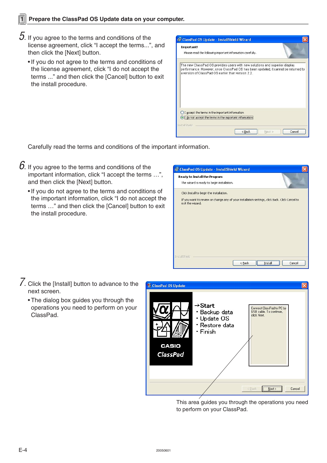- $b$ . If you agree to the terms and conditions of the license agreement, click "I accept the terms...", and then click the [Next] button.
	- •If you do not agree to the terms and conditions of the license agreement, click "I do not accept the terms ..." and then click the [Cancel] button to exit the install procedure.



Carefully read the terms and conditions of the important information.

- $66$ . If you agree to the terms and conditions of the important information, click "I accept the terms …", and then click the [Next] button.
	- •If you do not agree to the terms and conditions of the important information, click "I do not accept the terms …" and then click the [Cancel] button to exit the install procedure.



- 7. Click the [Install] button to advance to the next screen.
	- The dialog box guides you through the operations you need to perform on your ClassPad.



This area guides you through the operations you need to perform on your ClassPad.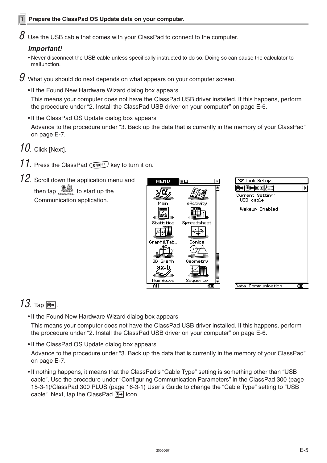$\emph{8}.$  Use the USB cable that comes with your ClassPad to connect to the computer.

#### **Important!**

- Never disconnect the USB cable unless specifically instructed to do so. Doing so can cause the calculator to malfunction.
- $9.$  What you should do next depends on what appears on your computer screen.
	- •If the Found New Hardware Wizard dialog box appears

This means your computer does not have the ClassPad USB driver installed. If this happens, perform the procedure under "2. Install the ClassPad USB driver on your computer" on page E-6.

•If the ClassPad OS Update dialog box appears

Advance to the procedure under "3. Back up the data that is currently in the memory of your ClassPad" on page E-7.

- 10. Click [Next].
- $11.$  Press the ClassPad  $\overline{\text{OMOFF}}$  key to turn it on.
- 12. Scroll down the application menu and then tap  $\mathbb{B}$  to start up the Communication application.



#### $13.$  Tap  $E$ .

•If the Found New Hardware Wizard dialog box appears

This means your computer does not have the ClassPad USB driver installed. If this happens, perform the procedure under "2. Install the ClassPad USB driver on your computer" on page E-6.

•If the ClassPad OS Update dialog box appears

Advance to the procedure under "3. Back up the data that is currently in the memory of your ClassPad" on page E-7.

•If nothing happens, it means that the ClassPad's "Cable Type" setting is something other than "USB cable". Use the procedure under "Configuring Communication Parameters" in the ClassPad 300 (page 15-3-1)/ClassPad 300 PLUS (page 16-3-1) User's Guide to change the "Cable Type" setting to "USB cable". Next, tap the ClassPad  $\boxed{\mathbb{F}^*}$  icon.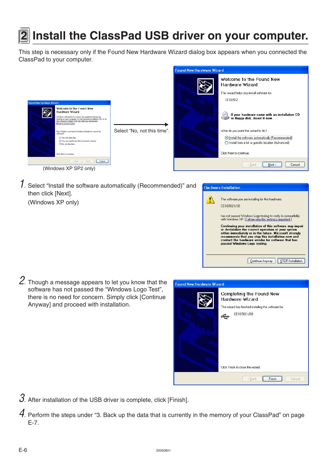<span id="page-6-0"></span>

### **2 Install the ClassPad USB driver on your computer.**

This step is necessary only if the Found New Hardware Wizard dialog box appears when you connected the ClassPad to your computer.



1. Select "Install the software automatically (Recommended)" and then click [Next].

(Windows XP only)



2. Though a message appears to let you know that the software has not passed the "Windows Logo Test", there is no need for concern. Simply click [Continue Anyway] and proceed with installation.

| <b>Found New Hardware Wizard</b> |                                                                                                                           |
|----------------------------------|---------------------------------------------------------------------------------------------------------------------------|
|                                  | Completing the Found New<br><b>Hardware Wizard</b><br>The wizard has finished installing the software for:<br>CESG502 USB |
|                                  | Click Finish to close the wizard.                                                                                         |
|                                  | Cancel<br>< Back<br>Finish                                                                                                |

 $3.$  After installation of the USB driver is complete, click [Finish].

 $4$ . Perform the steps under "3. Back up the data that is currently in the memory of your ClassPad" on page E-7.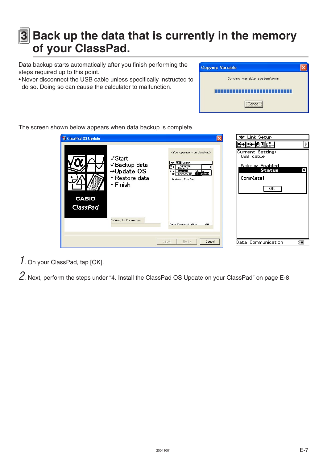### <span id="page-7-0"></span>**3** Back up the data that is currently in the memory **of your ClassPad.**

Data backup starts automatically after you finish performing the steps required up to this point.

• Never disconnect the USB cable unless specifically instructed to do so. Doing so can cause the calculator to malfunction.

| ing Variable                 |  |
|------------------------------|--|
| Copying variable system\ymin |  |
| ster a st                    |  |
| Cancel                       |  |

The screen shown below appears when data backup is complete.

| <sup>14</sup> ClassPad OS Update                                                                                                       | $\mathsf{\overline{x}}$                                                                                                                                                                     | Link Setup<br>v.                                                                                        |
|----------------------------------------------------------------------------------------------------------------------------------------|---------------------------------------------------------------------------------------------------------------------------------------------------------------------------------------------|---------------------------------------------------------------------------------------------------------|
| $\sqrt{\frac{1}{1}}$ Start<br>√Backup data<br>$\rightarrow$ Update OS<br>· Restore data<br>· Finish<br><b>CASIO</b><br><b>ClassPad</b> | <your classpad="" on="" operations=""><br/><b>V Mill</b> Setup<br/>Transmit<br/>Receive<br/><b>Graen Re Add-In</b><br/>Screen Re <b>28 Ustate</b><br/>Curi<br/>ПS<br/>Wakeup Enabled</your> | @• @• @@ &¤ <br>Þ<br>Current Setting:<br>USB cable<br>Wakeup Enabled<br>×<br>Status<br>Complete!<br>OK. |
| Waiting for Connection.                                                                                                                | राग<br><b>Data Communication</b><br>< Back<br>Next ><br>Cancel                                                                                                                              | Data Communication<br>दम्म                                                                              |

Copy

1. On your ClassPad, tap [OK].

2. Next, perform the steps under "4. Install the ClassPad OS Update on your ClassPad" on page E-8.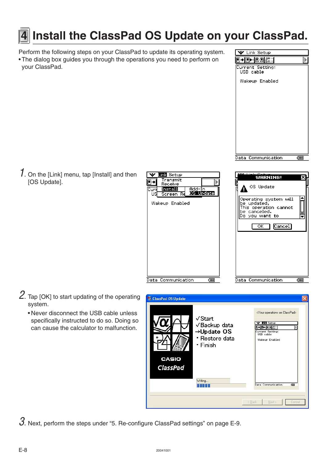### <span id="page-8-0"></span>**4 Install the ClassPad OS Update on your ClassPad.**

Perform the following steps on your ClassPad to update its operating system.

• The dialog box guides you through the operations you need to perform on your ClassPad.

 $1.$  On the [Link] menu, tap [Install] and then [OS Update].

- 2. Tap [OK] to start updating of the operating system.
	- Never disconnect the USB cable unless specifically instructed to do so. Doing so can cause the calculator to malfunction.

 $3.$  Next, perform the steps under "5. Re-configure ClassPad settings" on page E-9.



V Link Setup

| <b>Sink</b> Setup<br>Transmit                                             | والتقارب والمستقبل المستو<br><b>WARNING!</b><br>Χ                                                                             |
|---------------------------------------------------------------------------|-------------------------------------------------------------------------------------------------------------------------------|
| ⋟<br>Receive<br>Install<br>Add-In<br>Curr<br>OS Update<br>บร<br>Screen Rd | OS Update                                                                                                                     |
| Wakeup Enabled                                                            | Operating system will<br>be updated.<br>This operation cannot<br>be canceled.<br>Do you want to<br>ОΚ<br>$ {\tt C}$ ance $1 $ |
| Data Communication<br>द्गात                                               | Data Communication<br>द्राप्त                                                                                                 |
|                                                                           |                                                                                                                               |



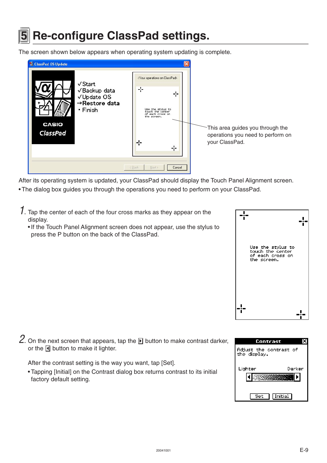### <span id="page-9-0"></span>**5 Re-configure ClassPad settings.**

The screen shown below appears when operating system updating is complete.



After its operating system is updated, your ClassPad should display the Touch Panel Alignment screen.

- The dialog box guides you through the operations you need to perform on your ClassPad.
- $1.$  Tap the center of each of the four cross marks as they appear on the display.
	- •If the Touch Panel Alignment screen does not appear, use the stylus to press the P button on the back of the ClassPad.



Contrast Adjust the contrast of the display. Lighter Darker k  $\frac{1}{2}$ Set 1 **Initial** 

2. On the next screen that appears, tap the  $\blacksquare$  button to make contrast darker, or the  $\blacksquare$  button to make it lighter.

After the contrast setting is the way you want, tap [Set].

• Tapping [Initial] on the Contrast dialog box returns contrast to its initial factory default setting.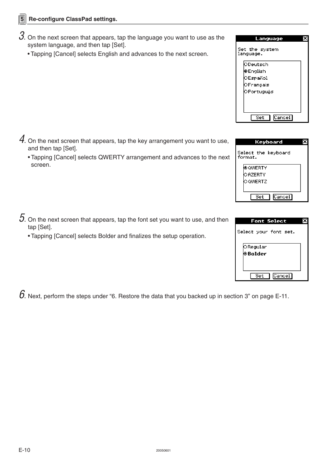- $3$ . On the next screen that appears, tap the language you want to use as the system language, and then tap [Set].
	- Tapping [Cancel] selects English and advances to the next screen.

- $\mathcal{4}$ . On the next screen that appears, tap the key arrangement you want to use, and then tap [Set].
	- Tapping [Cancel] selects QWERTY arrangement and advances to the next screen.
- $5$ . On the next screen that appears, tap the font set you want to use, and then tap [Set].
	- Tapping [Cancel] selects Bolder and finalizes the setup operation.

 $20\%$ . Next, perform the steps under "6. Restore the data that you backed up in section 3" on page E-11.<br>E-10

| Language                    |  |
|-----------------------------|--|
| Set the system<br>language. |  |
| ODeutsch                    |  |
| l0 English                  |  |
| OEspañol                    |  |
| lO Français                 |  |
| OPortuguês                  |  |
|                             |  |
|                             |  |
|                             |  |
| Set<br>lCancel.             |  |

| Keyboard                       |  |
|--------------------------------|--|
| Select the keyboard<br>format. |  |
| ()© QWERTY                     |  |
| OAZERTY                        |  |
| O QWERTZ                       |  |
|                                |  |
| Cancel <br>Set                 |  |

| <b>Font Select</b>         |  |
|----------------------------|--|
| Select your font set.      |  |
| <b>ORegular</b><br>⊗Bolder |  |
|                            |  |
| Cancel <br>$\sim$          |  |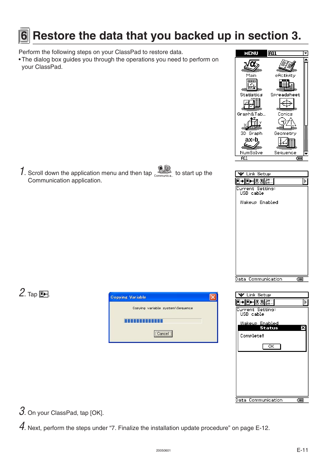### <span id="page-11-0"></span>**6 Restore the data that you backed up in section 3.**

Perform the following steps on your ClassPad to restore data.

• The dialog box guides you through the operations you need to perform on your ClassPad.



1. Scroll down the application menu and then tap  $\mathbb{B}$  to start up the Communication application.

| Link Setup                                                          |       |
|---------------------------------------------------------------------|-------|
| e-eak:<br>$\left[\begin{matrix} 1 & 1 \\ 1 & 1 \end{matrix}\right]$ | ₿     |
| Current Setting:<br>USB cable                                       |       |
| Wakeup Enabled                                                      |       |
|                                                                     |       |
|                                                                     |       |
|                                                                     |       |
|                                                                     |       |
|                                                                     |       |
|                                                                     |       |
|                                                                     |       |
| Communication<br>Data                                               | द्राप |

#### 2. Tap  $\mathbb{F}$ .





3. On your ClassPad, tap [OK].

 $4$ . Next, perform the steps under "7. Finalize the installation update procedure" on page E-12.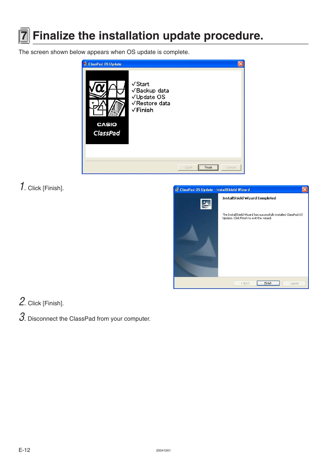<span id="page-12-0"></span>

### **7 Finalize the installation update procedure.**

The screen shown below appears when OS update is complete.



#### 1. Click [Finish].



#### 2. Click [Finish].

 $3.$  Disconnect the ClassPad from your computer.